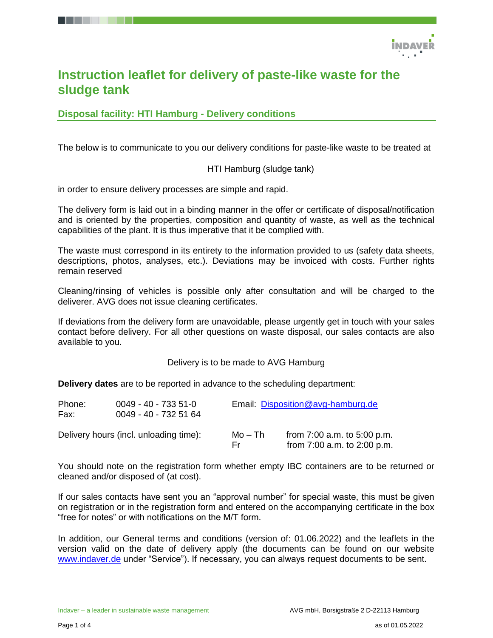

# **Instruction leaflet for delivery of paste-like waste for the sludge tank**

**Disposal facility: HTI Hamburg - Delivery conditions**

The below is to communicate to you our delivery conditions for paste-like waste to be treated at

HTI Hamburg (sludge tank)

in order to ensure delivery processes are simple and rapid.

The delivery form is laid out in a binding manner in the offer or certificate of disposal/notification and is oriented by the properties, composition and quantity of waste, as well as the technical capabilities of the plant. It is thus imperative that it be complied with.

The waste must correspond in its entirety to the information provided to us (safety data sheets, descriptions, photos, analyses, etc.). Deviations may be invoiced with costs. Further rights remain reserved

Cleaning/rinsing of vehicles is possible only after consultation and will be charged to the deliverer. AVG does not issue cleaning certificates.

If deviations from the delivery form are unavoidable, please urgently get in touch with your sales contact before delivery. For all other questions on waste disposal, our sales contacts are also available to you.

Delivery is to be made to AVG Hamburg

**Delivery dates** are to be reported in advance to the scheduling department:

| Phone:<br>Fax: | $0049 - 40 - 7335 - 51 - 0$<br>0049 - 40 - 732 51 64 |                | Email: Disposition@avg-hamburg.de                                  |  |  |
|----------------|------------------------------------------------------|----------------|--------------------------------------------------------------------|--|--|
|                | Delivery hours (incl. unloading time):               | Mo – Th<br>Fr. | from $7:00$ a.m. to $5:00$ p.m.<br>from $7:00$ a.m. to $2:00$ p.m. |  |  |

You should note on the registration form whether empty IBC containers are to be returned or cleaned and/or disposed of (at cost).

If our sales contacts have sent you an "approval number" for special waste, this must be given on registration or in the registration form and entered on the accompanying certificate in the box "free for notes" or with notifications on the M/T form.

In addition, our General terms and conditions (version of: 01.06.2022) and the leaflets in the version valid on the date of delivery apply (the documents can be found on our website [www.indaver.de](http://www.indaver.de/) under "Service"). If necessary, you can always request documents to be sent.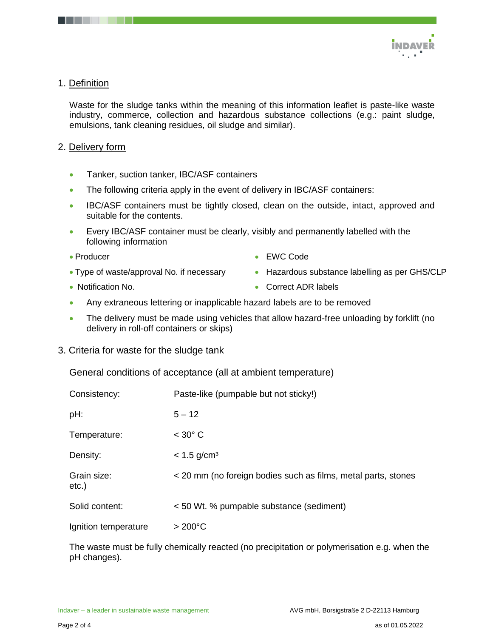

# 1. Definition

Waste for the sludge tanks within the meaning of this information leaflet is paste-like waste industry, commerce, collection and hazardous substance collections (e.g.: paint sludge, emulsions, tank cleaning residues, oil sludge and similar).

## 2. Delivery form

- Tanker, suction tanker, IBC/ASF containers
- The following criteria apply in the event of delivery in IBC/ASF containers:
- IBC/ASF containers must be tightly closed, clean on the outside, intact, approved and suitable for the contents.
- Every IBC/ASF container must be clearly, visibly and permanently labelled with the following information
- Producer
- EWC Code
- Type of waste/approval No. if necessary
- Notification No.

• Correct ADR labels

• Hazardous substance labelling as per GHS/CLP

- Any extraneous lettering or inapplicable hazard labels are to be removed
- The delivery must be made using vehicles that allow hazard-free unloading by forklift (no delivery in roll-off containers or skips)

#### 3. Criteria for waste for the sludge tank

| General conditions of acceptance (all at ambient temperature) |  |
|---------------------------------------------------------------|--|

| Consistency:         | Paste-like (pumpable but not sticky!)                         |
|----------------------|---------------------------------------------------------------|
| pH:                  | $5 - 12$                                                      |
| Temperature:         | $<$ 30 $^{\circ}$ C                                           |
| Density:             | $< 1.5$ g/cm <sup>3</sup>                                     |
| Grain size:<br>etc.) | < 20 mm (no foreign bodies such as films, metal parts, stones |
| Solid content:       | < 50 Wt. % pumpable substance (sediment)                      |
| Ignition temperature | $>200^{\circ}$ C                                              |

The waste must be fully chemically reacted (no precipitation or polymerisation e.g. when the pH changes).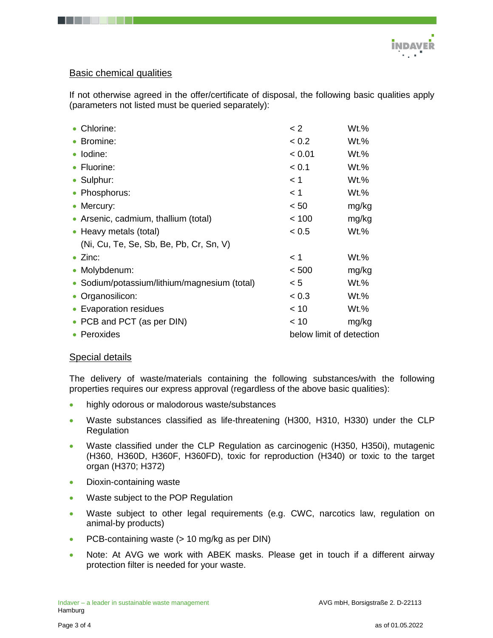

# Basic chemical qualities

If not otherwise agreed in the offer/certificate of disposal, the following basic qualities apply (parameters not listed must be queried separately):

| • Chlorine:                                  | $\lt 2$                  | Wt.%    |  |
|----------------------------------------------|--------------------------|---------|--|
| • Bromine:                                   | < 0.2                    | Wt.%    |  |
| · Iodine:                                    | < 0.01                   | Wt.%    |  |
| • Fluorine:                                  | < 0.1                    | Wt.%    |  |
| • Sulphur:                                   | < 1                      | Wt.%    |  |
| • Phosphorus:                                | < 1                      | Wt.%    |  |
| • Mercury:                                   | < 50                     | mg/kg   |  |
| • Arsenic, cadmium, thallium (total)         | < 100                    | mg/kg   |  |
| • Heavy metals (total)                       | < 0.5                    | Wt.%    |  |
| (Ni, Cu, Te, Se, Sb, Be, Pb, Cr, Sn, V)      |                          |         |  |
| $\bullet$ Zinc:                              | < 1                      | Wt.%    |  |
| • Molybdenum:                                | < 500                    | mg/kg   |  |
| • Sodium/potassium/lithium/magnesium (total) | < 5                      | Wt.%    |  |
| • Organosilicon:                             | < 0.3                    | $Wt.$ % |  |
| • Evaporation residues                       | < 10                     | Wt.%    |  |
| • PCB and PCT (as per DIN)                   | < 10                     | mg/kg   |  |
| • Peroxides                                  | below limit of detection |         |  |

## Special details

The delivery of waste/materials containing the following substances/with the following properties requires our express approval (regardless of the above basic qualities):

- **•** highly odorous or malodorous waste/substances
- Waste substances classified as life-threatening (H300, H310, H330) under the CLP Regulation
- Waste classified under the CLP Regulation as carcinogenic (H350, H350i), mutagenic (H360, H360D, H360F, H360FD), toxic for reproduction (H340) or toxic to the target organ (H370; H372)
- Dioxin-containing waste
- Waste subject to the POP Regulation
- Waste subject to other legal requirements (e.g. CWC, narcotics law, regulation on animal-by products)
- PCB-containing waste (> 10 mg/kg as per DIN)
- Note: At AVG we work with ABEK masks. Please get in touch if a different airway protection filter is needed for your waste.